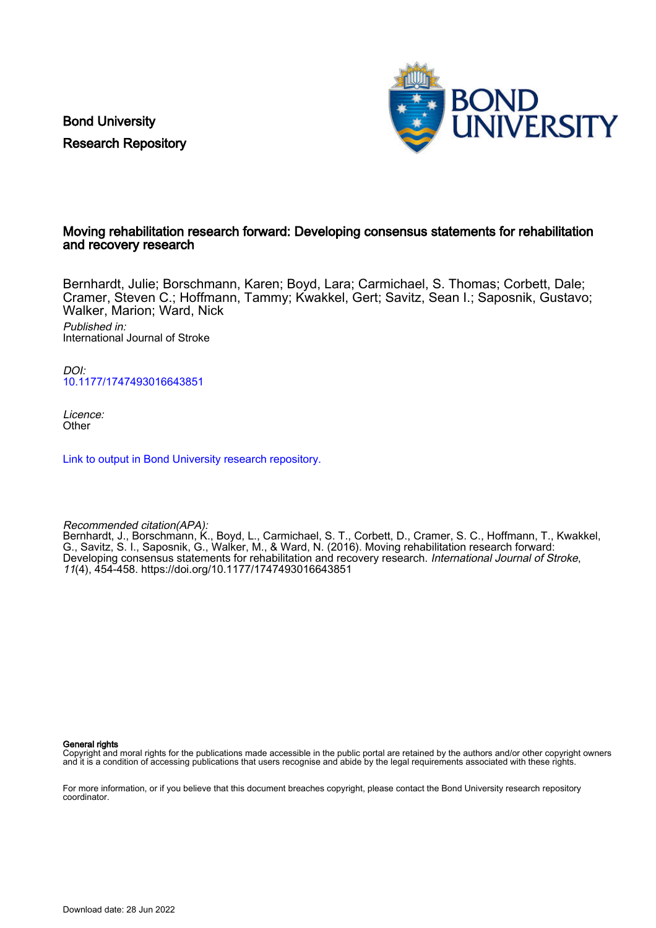Bond University Research Repository



### Moving rehabilitation research forward: Developing consensus statements for rehabilitation and recovery research

Bernhardt, Julie; Borschmann, Karen; Boyd, Lara; Carmichael, S. Thomas; Corbett, Dale; Cramer, Steven C.; Hoffmann, Tammy; Kwakkel, Gert; Savitz, Sean I.; Saposnik, Gustavo; Walker, Marion; Ward, Nick

Published in: International Journal of Stroke

DOI: [10.1177/1747493016643851](https://doi.org/10.1177/1747493016643851)

Licence: **Other** 

[Link to output in Bond University research repository.](https://research.bond.edu.au/en/publications/4f84880f-d8cd-495b-aa91-982d009188cd)

Recommended citation(APA):

Bernhardt, J., Borschmann, K., Boyd, L., Carmichael, S. T., Corbett, D., Cramer, S. C., Hoffmann, T., Kwakkel, G., Savitz, S. I., Saposnik, G., Walker, M., & Ward, N. (2016). Moving rehabilitation research forward: Developing consensus statements for rehabilitation and recovery research. International Journal of Stroke, 11(4), 454-458.<https://doi.org/10.1177/1747493016643851>

General rights

Copyright and moral rights for the publications made accessible in the public portal are retained by the authors and/or other copyright owners and it is a condition of accessing publications that users recognise and abide by the legal requirements associated with these rights.

For more information, or if you believe that this document breaches copyright, please contact the Bond University research repository coordinator.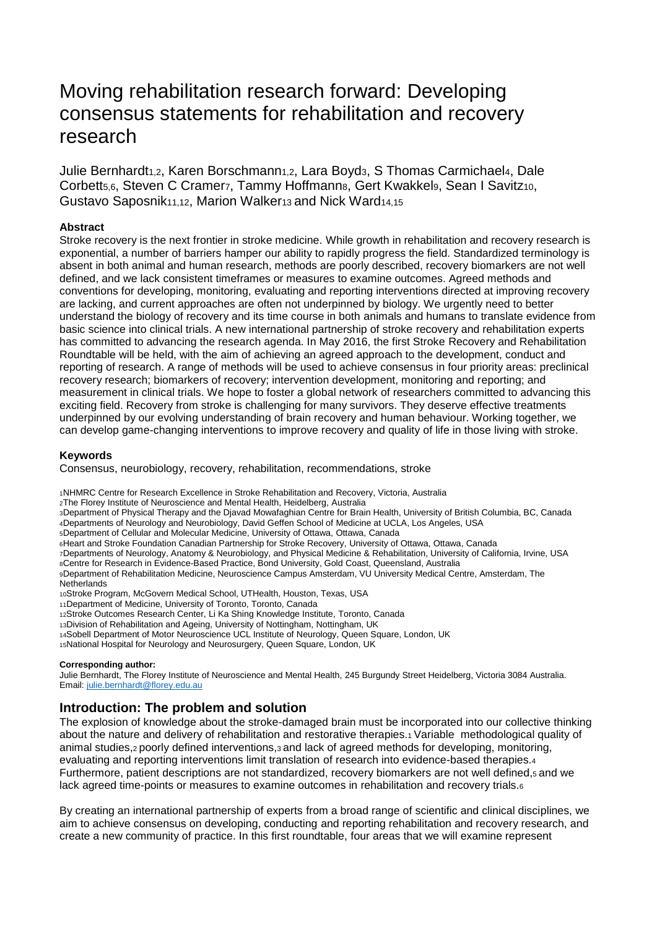# Moving rehabilitation research forward: Developing consensus statements for rehabilitation and recovery research

Julie Bernhardt<sub>1,2</sub>, Karen Borschmann<sub>1,2</sub>, Lara Boyd<sub>3</sub>, S Thomas Carmichael<sub>4</sub>, Dale Corbett<sub>5,6</sub>, Steven C Cramerz, Tammy Hoffmann<sub>8</sub>, Gert Kwakkel<sub>9</sub>, Sean I Savitz<sub>10</sub>, Gustavo Saposnik11,12, Marion Walker13 and Nick Ward14,15

#### **Abstract**

Stroke recovery is the next frontier in stroke medicine. While growth in rehabilitation and recovery research is exponential, a number of barriers hamper our ability to rapidly progress the field. Standardized terminology is absent in both animal and human research, methods are poorly described, recovery biomarkers are not well defined, and we lack consistent timeframes or measures to examine outcomes. Agreed methods and conventions for developing, monitoring, evaluating and reporting interventions directed at improving recovery are lacking, and current approaches are often not underpinned by biology. We urgently need to better understand the biology of recovery and its time course in both animals and humans to translate evidence from basic science into clinical trials. A new international partnership of stroke recovery and rehabilitation experts has committed to advancing the research agenda. In May 2016, the first Stroke Recovery and Rehabilitation Roundtable will be held, with the aim of achieving an agreed approach to the development, conduct and reporting of research. A range of methods will be used to achieve consensus in four priority areas: preclinical recovery research; biomarkers of recovery; intervention development, monitoring and reporting; and measurement in clinical trials. We hope to foster a global network of researchers committed to advancing this exciting field. Recovery from stroke is challenging for many survivors. They deserve effective treatments underpinned by our evolving understanding of brain recovery and human behaviour. Working together, we can develop game-changing interventions to improve recovery and quality of life in those living with stroke.

#### **Keywords**

Consensus, neurobiology, recovery, rehabilitation, recommendations, stroke

<sup>1</sup>NHMRC Centre for Research Excellence in Stroke Rehabilitation and Recovery, Victoria, Australia

<sup>2</sup>The Florey Institute of Neuroscience and Mental Health, Heidelberg, Australia

<sup>3</sup>Department of Physical Therapy and the Djavad Mowafaghian Centre for Brain Health, University of British Columbia, BC, Canada <sup>4</sup>Departments of Neurology and Neurobiology, David Geffen School of Medicine at UCLA, Los Angeles, USA

<sup>5</sup>Department of Cellular and Molecular Medicine, University of Ottawa, Ottawa, Canada

<sup>6</sup>Heart and Stroke Foundation Canadian Partnership for Stroke Recovery, University of Ottawa, Ottawa, Canada

- <sup>7</sup>Departments of Neurology, Anatomy & Neurobiology, and Physical Medicine & Rehabilitation, University of California, Irvine, USA
- <sup>8</sup>Centre for Research in Evidence-Based Practice, Bond University, Gold Coast, Queensland, Australia
- <sup>9</sup>Department of Rehabilitation Medicine, Neuroscience Campus Amsterdam, VU University Medical Centre, Amsterdam, The

**Netherlands** 

<sup>10</sup>Stroke Program, McGovern Medical School, UTHealth, Houston, Texas, USA

- <sup>11</sup>Department of Medicine, University of Toronto, Toronto, Canada
- <sup>12</sup>Stroke Outcomes Research Center, Li Ka Shing Knowledge Institute, Toronto, Canada
- <sup>13</sup>Division of Rehabilitation and Ageing, University of Nottingham, Nottingham, UK
- <sup>14</sup>Sobell Department of Motor Neuroscience UCL Institute of Neurology, Queen Square, London, UK
- <sup>15</sup>National Hospital for Neurology and Neurosurgery, Queen Square, London, UK

#### **Corresponding author:**

Julie Bernhardt, The Florey Institute of Neuroscience and Mental Health, 245 Burgundy Street Heidelberg, Victoria 3084 Australia. Email[: julie.bernhardt@florey.edu.au](mailto:julie.bernhardt@florey.edu.au)

## **Introduction: The problem and solution**

The explosion of knowledge about the stroke-damaged brain must be incorporated into our collective thinking about the nature and delivery of rehabilitation and restorative therapies.1 Variable methodological quality of animal studies,2 poorly defined interventions,3 and lack of agreed methods for developing, monitoring, evaluating and reporting interventions limit translation of research into evidence-based therapies.<sup>4</sup> Furthermore, patient descriptions are not standardized, recovery biomarkers are not well defined,5 and we lack agreed time-points or measures to examine outcomes in rehabilitation and recovery trials.<sup>6</sup>

By creating an international partnership of experts from a broad range of scientific and clinical disciplines, we aim to achieve consensus on developing, conducting and reporting rehabilitation and recovery research, and create a new community of practice. In this first roundtable, four areas that we will examine represent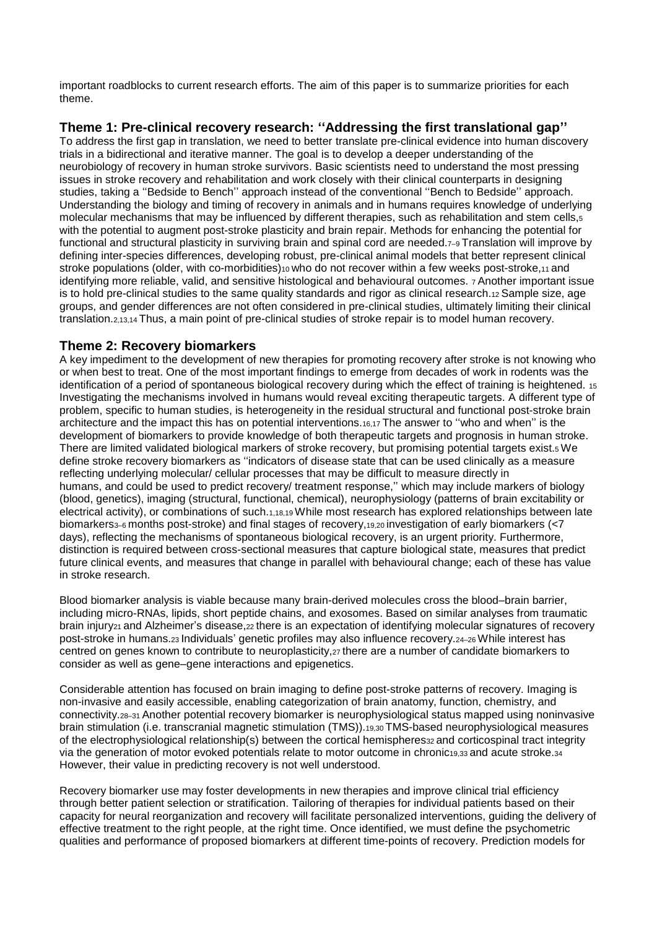important roadblocks to current research efforts. The aim of this paper is to summarize priorities for each theme.

# **Theme 1: Pre-clinical recovery research: ''Addressing the first translational gap''**

To address the first gap in translation, we need to better translate pre-clinical evidence into human discovery trials in a bidirectional and iterative manner. The goal is to develop a deeper understanding of the neurobiology of recovery in human stroke survivors. Basic scientists need to understand the most pressing issues in stroke recovery and rehabilitation and work closely with their clinical counterparts in designing studies, taking a ''Bedside to Bench'' approach instead of the conventional ''Bench to Bedside'' approach. Understanding the biology and timing of recovery in animals and in humans requires knowledge of underlying molecular mechanisms that may be influenced by different therapies, such as rehabilitation and stem cells,<sup>5</sup> with the potential to augment post-stroke plasticity and brain repair. Methods for enhancing the potential for functional and structural plasticity in surviving brain and spinal cord are needed.<sub>7-9</sub> Translation will improve by defining inter-species differences, developing robust, pre-clinical animal models that better represent clinical stroke populations (older, with co-morbidities)10 who do not recover within a few weeks post-stroke,11 and identifying more reliable, valid, and sensitive histological and behavioural outcomes. <sup>7</sup>Another important issue is to hold pre-clinical studies to the same quality standards and rigor as clinical research.12 Sample size, age groups, and gender differences are not often considered in pre-clinical studies, ultimately limiting their clinical translation.2,13,14 Thus, a main point of pre-clinical studies of stroke repair is to model human recovery.

# **Theme 2: Recovery biomarkers**

A key impediment to the development of new therapies for promoting recovery after stroke is not knowing who or when best to treat. One of the most important findings to emerge from decades of work in rodents was the identification of a period of spontaneous biological recovery during which the effect of training is heightened. 15 Investigating the mechanisms involved in humans would reveal exciting therapeutic targets. A different type of problem, specific to human studies, is heterogeneity in the residual structural and functional post-stroke brain architecture and the impact this has on potential interventions.16,17 The answer to ''who and when'' is the development of biomarkers to provide knowledge of both therapeutic targets and prognosis in human stroke. There are limited validated biological markers of stroke recovery, but promising potential targets exist.5 We define stroke recovery biomarkers as ''indicators of disease state that can be used clinically as a measure reflecting underlying molecular/ cellular processes that may be difficult to measure directly in humans, and could be used to predict recovery/ treatment response,'' which may include markers of biology (blood, genetics), imaging (structural, functional, chemical), neurophysiology (patterns of brain excitability or electrical activity), or combinations of such.1,18,19 While most research has explored relationships between late biomarkers<sub>3–6</sub> months post-stroke) and final stages of recovery,<sub>19,20</sub> investigation of early biomarkers (<7 days), reflecting the mechanisms of spontaneous biological recovery, is an urgent priority. Furthermore, distinction is required between cross-sectional measures that capture biological state, measures that predict future clinical events, and measures that change in parallel with behavioural change; each of these has value in stroke research.

Blood biomarker analysis is viable because many brain-derived molecules cross the blood–brain barrier, including micro-RNAs, lipids, short peptide chains, and exosomes. Based on similar analyses from traumatic brain injury<sub>21</sub> and Alzheimer's disease,<sub>22</sub> there is an expectation of identifying molecular signatures of recovery post-stroke in humans.23 Individuals' genetic profiles may also influence recovery.24–26 While interest has centred on genes known to contribute to neuroplasticity, 27 there are a number of candidate biomarkers to consider as well as gene–gene interactions and epigenetics.

Considerable attention has focused on brain imaging to define post-stroke patterns of recovery. Imaging is non-invasive and easily accessible, enabling categorization of brain anatomy, function, chemistry, and connectivity.28–31 Another potential recovery biomarker is neurophysiological status mapped using noninvasive brain stimulation (i.e. transcranial magnetic stimulation (TMS)).19,30 TMS-based neurophysiological measures of the electrophysiological relationship(s) between the cortical hemispheres32 and corticospinal tract integrity via the generation of motor evoked potentials relate to motor outcome in chronic19,33 and acute stroke.<sup>34</sup> However, their value in predicting recovery is not well understood.

Recovery biomarker use may foster developments in new therapies and improve clinical trial efficiency through better patient selection or stratification. Tailoring of therapies for individual patients based on their capacity for neural reorganization and recovery will facilitate personalized interventions, guiding the delivery of effective treatment to the right people, at the right time. Once identified, we must define the psychometric qualities and performance of proposed biomarkers at different time-points of recovery. Prediction models for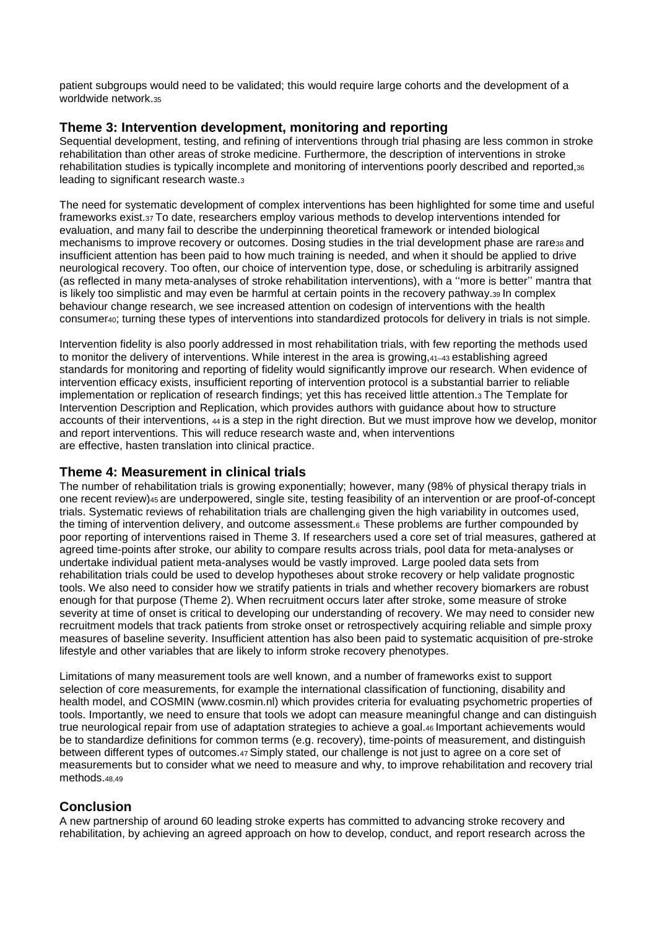patient subgroups would need to be validated; this would require large cohorts and the development of a worldwide network.<sup>35</sup>

## **Theme 3: Intervention development, monitoring and reporting**

Sequential development, testing, and refining of interventions through trial phasing are less common in stroke rehabilitation than other areas of stroke medicine. Furthermore, the description of interventions in stroke rehabilitation studies is typically incomplete and monitoring of interventions poorly described and reported,<sup>36</sup> leading to significant research waste.<sup>3</sup>

The need for systematic development of complex interventions has been highlighted for some time and useful frameworks exist.37 To date, researchers employ various methods to develop interventions intended for evaluation, and many fail to describe the underpinning theoretical framework or intended biological mechanisms to improve recovery or outcomes. Dosing studies in the trial development phase are rare38 and insufficient attention has been paid to how much training is needed, and when it should be applied to drive neurological recovery. Too often, our choice of intervention type, dose, or scheduling is arbitrarily assigned (as reflected in many meta-analyses of stroke rehabilitation interventions), with a ''more is better'' mantra that is likely too simplistic and may even be harmful at certain points in the recovery pathway.39 In complex behaviour change research, we see increased attention on codesign of interventions with the health consumer40; turning these types of interventions into standardized protocols for delivery in trials is not simple.

Intervention fidelity is also poorly addressed in most rehabilitation trials, with few reporting the methods used to monitor the delivery of interventions. While interest in the area is growing,41–43 establishing agreed standards for monitoring and reporting of fidelity would significantly improve our research. When evidence of intervention efficacy exists, insufficient reporting of intervention protocol is a substantial barrier to reliable implementation or replication of research findings; yet this has received little attention.3 The Template for Intervention Description and Replication, which provides authors with guidance about how to structure accounts of their interventions, <sup>44</sup>is a step in the right direction. But we must improve how we develop, monitor and report interventions. This will reduce research waste and, when interventions are effective, hasten translation into clinical practice.

## **Theme 4: Measurement in clinical trials**

The number of rehabilitation trials is growing exponentially; however, many (98% of physical therapy trials in one recent review)45 are underpowered, single site, testing feasibility of an intervention or are proof-of-concept trials. Systematic reviews of rehabilitation trials are challenging given the high variability in outcomes used, the timing of intervention delivery, and outcome assessment.6 These problems are further compounded by poor reporting of interventions raised in Theme 3. If researchers used a core set of trial measures, gathered at agreed time-points after stroke, our ability to compare results across trials, pool data for meta-analyses or undertake individual patient meta-analyses would be vastly improved. Large pooled data sets from rehabilitation trials could be used to develop hypotheses about stroke recovery or help validate prognostic tools. We also need to consider how we stratify patients in trials and whether recovery biomarkers are robust enough for that purpose (Theme 2). When recruitment occurs later after stroke, some measure of stroke severity at time of onset is critical to developing our understanding of recovery. We may need to consider new recruitment models that track patients from stroke onset or retrospectively acquiring reliable and simple proxy measures of baseline severity. Insufficient attention has also been paid to systematic acquisition of pre-stroke lifestyle and other variables that are likely to inform stroke recovery phenotypes.

Limitations of many measurement tools are well known, and a number of frameworks exist to support selection of core measurements, for example the international classification of functioning, disability and health model, and COSMIN (www.cosmin.nl) which provides criteria for evaluating psychometric properties of tools. Importantly, we need to ensure that tools we adopt can measure meaningful change and can distinguish true neurological repair from use of adaptation strategies to achieve a goal.46 Important achievements would be to standardize definitions for common terms (e.g. recovery), time-points of measurement, and distinguish between different types of outcomes.47 Simply stated, our challenge is not just to agree on a core set of measurements but to consider what we need to measure and why, to improve rehabilitation and recovery trial methods.48,49

## **Conclusion**

A new partnership of around 60 leading stroke experts has committed to advancing stroke recovery and rehabilitation, by achieving an agreed approach on how to develop, conduct, and report research across the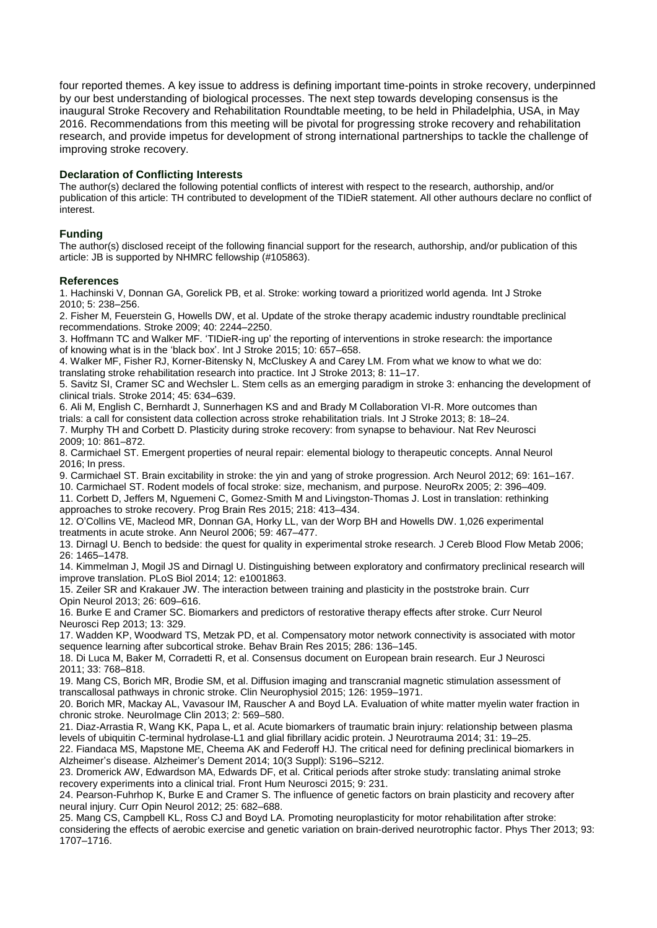four reported themes. A key issue to address is defining important time-points in stroke recovery, underpinned by our best understanding of biological processes. The next step towards developing consensus is the inaugural Stroke Recovery and Rehabilitation Roundtable meeting, to be held in Philadelphia, USA, in May 2016. Recommendations from this meeting will be pivotal for progressing stroke recovery and rehabilitation research, and provide impetus for development of strong international partnerships to tackle the challenge of improving stroke recovery.

#### **Declaration of Conflicting Interests**

The author(s) declared the following potential conflicts of interest with respect to the research, authorship, and/or publication of this article: TH contributed to development of the TIDieR statement. All other authours declare no conflict of interest.

#### **Funding**

The author(s) disclosed receipt of the following financial support for the research, authorship, and/or publication of this article: JB is supported by NHMRC fellowship (#105863).

#### **References**

1. Hachinski V, Donnan GA, Gorelick PB, et al. Stroke: working toward a prioritized world agenda. Int J Stroke 2010; 5: 238–256.

2. Fisher M, Feuerstein G, Howells DW, et al. Update of the stroke therapy academic industry roundtable preclinical recommendations. Stroke 2009; 40: 2244–2250.

3. Hoffmann TC and Walker MF. 'TIDieR-ing up' the reporting of interventions in stroke research: the importance of knowing what is in the 'black box'. Int J Stroke 2015; 10: 657–658.

4. Walker MF, Fisher RJ, Korner-Bitensky N, McCluskey A and Carey LM. From what we know to what we do: translating stroke rehabilitation research into practice. Int J Stroke 2013; 8: 11–17.

5. Savitz SI, Cramer SC and Wechsler L. Stem cells as an emerging paradigm in stroke 3: enhancing the development of clinical trials. Stroke 2014; 45: 634–639.

6. Ali M, English C, Bernhardt J, Sunnerhagen KS and and Brady M Collaboration VI-R. More outcomes than trials: a call for consistent data collection across stroke rehabilitation trials. Int J Stroke 2013; 8: 18–24. 7. Murphy TH and Corbett D. Plasticity during stroke recovery: from synapse to behaviour. Nat Rev Neurosci 2009; 10: 861–872.

8. Carmichael ST. Emergent properties of neural repair: elemental biology to therapeutic concepts. Annal Neurol 2016; In press.

9. Carmichael ST. Brain excitability in stroke: the yin and yang of stroke progression. Arch Neurol 2012; 69: 161–167.

10. Carmichael ST. Rodent models of focal stroke: size, mechanism, and purpose. NeuroRx 2005; 2: 396–409. 11. Corbett D, Jeffers M, Nguemeni C, Gomez-Smith M and Livingston-Thomas J. Lost in translation: rethinking approaches to stroke recovery. Prog Brain Res 2015; 218: 413–434.

12. O'Collins VE, Macleod MR, Donnan GA, Horky LL, van der Worp BH and Howells DW. 1,026 experimental treatments in acute stroke. Ann Neurol 2006; 59: 467–477.

13. Dirnagl U. Bench to bedside: the quest for quality in experimental stroke research. J Cereb Blood Flow Metab 2006; 26: 1465–1478.

14. Kimmelman J, Mogil JS and Dirnagl U. Distinguishing between exploratory and confirmatory preclinical research will improve translation. PLoS Biol 2014; 12: e1001863.

15. Zeiler SR and Krakauer JW. The interaction between training and plasticity in the poststroke brain. Curr Opin Neurol 2013; 26: 609–616.

16. Burke E and Cramer SC. Biomarkers and predictors of restorative therapy effects after stroke. Curr Neurol Neurosci Rep 2013; 13: 329.

17. Wadden KP, Woodward TS, Metzak PD, et al. Compensatory motor network connectivity is associated with motor sequence learning after subcortical stroke. Behav Brain Res 2015; 286: 136–145.

18. Di Luca M, Baker M, Corradetti R, et al. Consensus document on European brain research. Eur J Neurosci 2011; 33: 768–818.

19. Mang CS, Borich MR, Brodie SM, et al. Diffusion imaging and transcranial magnetic stimulation assessment of transcallosal pathways in chronic stroke. Clin Neurophysiol 2015; 126: 1959–1971.

20. Borich MR, Mackay AL, Vavasour IM, Rauscher A and Boyd LA. Evaluation of white matter myelin water fraction in chronic stroke. NeuroImage Clin 2013; 2: 569–580.

21. Diaz-Arrastia R, Wang KK, Papa L, et al. Acute biomarkers of traumatic brain injury: relationship between plasma levels of ubiquitin C-terminal hydrolase-L1 and glial fibrillary acidic protein. J Neurotrauma 2014; 31: 19–25.

22. Fiandaca MS, Mapstone ME, Cheema AK and Federoff HJ. The critical need for defining preclinical biomarkers in Alzheimer's disease. Alzheimer's Dement 2014; 10(3 Suppl): S196–S212.

23. Dromerick AW, Edwardson MA, Edwards DF, et al. Critical periods after stroke study: translating animal stroke recovery experiments into a clinical trial. Front Hum Neurosci 2015; 9: 231.

24. Pearson-Fuhrhop K, Burke E and Cramer S. The influence of genetic factors on brain plasticity and recovery after neural injury. Curr Opin Neurol 2012; 25: 682–688.

25. Mang CS, Campbell KL, Ross CJ and Boyd LA. Promoting neuroplasticity for motor rehabilitation after stroke: considering the effects of aerobic exercise and genetic variation on brain-derived neurotrophic factor. Phys Ther 2013; 93: 1707–1716.